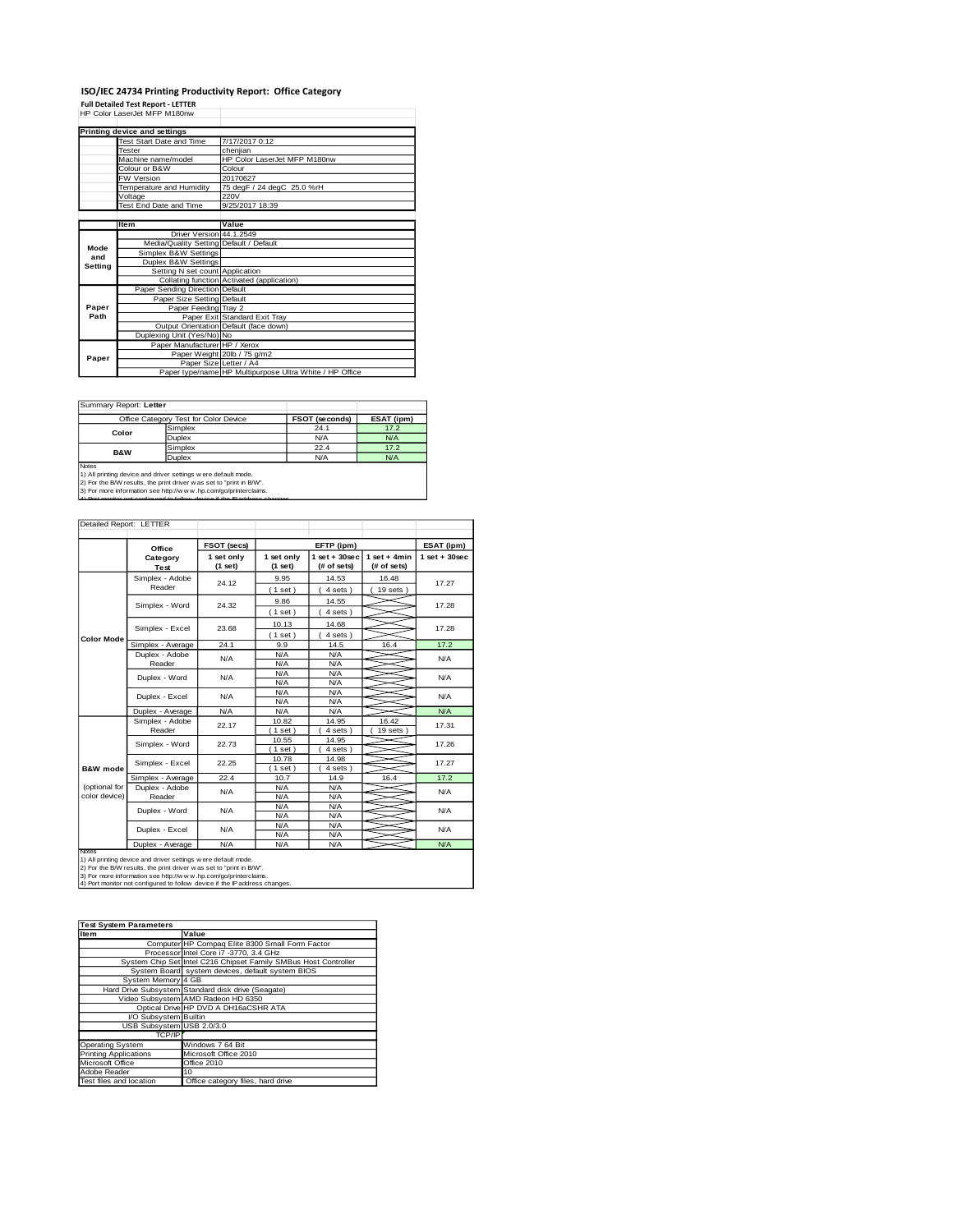# **ISO/IEC 24734 Printing Productivity Report: Office Category<br>Full Detailed Test Report - LETTER<br>HP Color LaserJet MFP M180nw**

|         | Printing device and settings            |                                                         |
|---------|-----------------------------------------|---------------------------------------------------------|
|         | Test Start Date and Time                | 7/17/2017 0:12                                          |
|         | Tester                                  | chenjian                                                |
|         | Machine name/model                      | HP Color LaserJet MFP M180nw                            |
|         | Colour or B&W                           | Colour                                                  |
|         | <b>FW Version</b>                       | 20170627                                                |
|         | Temperature and Humidity                | 75 degF / 24 degC 25.0 %rH                              |
|         | Voltage                                 | 220V                                                    |
|         | Test End Date and Time                  | 9/25/2017 18:39                                         |
|         |                                         |                                                         |
|         | <b>Item</b>                             | Value                                                   |
|         | Driver Version 44.1.2549                |                                                         |
| Mode    | Media/Quality Setting Default / Default |                                                         |
| and     | Simplex B&W Settings                    |                                                         |
| Setting | Duplex B&W Settings                     |                                                         |
|         | Setting N set count Application         |                                                         |
|         |                                         | Collating function Activated (application)              |
|         | Paper Sending Direction Default         |                                                         |
|         | Paper Size Setting Default              |                                                         |
| Paper   | Paper Feeding Tray 2                    |                                                         |
| Path    |                                         | Paper Exit Standard Exit Tray                           |
|         |                                         | Output Orientation Default (face down)                  |
|         | Duplexing Unit (Yes/No) No              |                                                         |
|         | Paper Manufacturer HP / Xerox           |                                                         |
| Paper   |                                         | Paper Weight 20lb / 75 g/m2                             |
|         | Paper Size Letter / A4                  |                                                         |
|         |                                         | Paper type/name HP Multipurpose Ultra White / HP Office |

Summary Report: **Letter**

|                                                                | Office Category Test for Color Device                                | <b>FSOT (seconds)</b> | ESAT (ipm) |  |  |  |
|----------------------------------------------------------------|----------------------------------------------------------------------|-----------------------|------------|--|--|--|
| Color                                                          | Simplex                                                              | 24.1                  | 17.2       |  |  |  |
|                                                                | Duplex                                                               | N/A                   | N/A        |  |  |  |
| <b>B&amp;W</b>                                                 | Simplex                                                              | 22.4                  | 17.2       |  |  |  |
|                                                                | <b>Duplex</b>                                                        | N/A                   | N/A        |  |  |  |
| <b>Notes</b>                                                   |                                                                      |                       |            |  |  |  |
| 1) All printing device and driver settings w ere default mode. |                                                                      |                       |            |  |  |  |
|                                                                | 2) For the B/W results, the print driver w as set to "print in B/W". |                       |            |  |  |  |

2) For the B/W results, the print driver w as set to "print in B/W".<br>3) For more information see http://w w w .hp.com/go/printerclaims.<br>4) Port monitor not configured to follow device if the IP address changes.

| Detailed Report: LETTER        |                           |                       |                       |                                |                               |                   |
|--------------------------------|---------------------------|-----------------------|-----------------------|--------------------------------|-------------------------------|-------------------|
|                                | Office                    | FSOT (secs)           |                       | EFTP (ipm)                     |                               | ESAT (ipm)        |
|                                | Category<br>Test          | 1 set only<br>(1 set) | 1 set only<br>(1 set) | $1$ set + 30sec<br>(# of sets) | $1$ set + 4min<br>(# of sets) | $1$ set $+30$ sec |
|                                | Simplex - Adobe<br>Reader | 24.12                 | 9.95<br>(1 set)       | 14.53<br>4 sets)               |                               | 17.27             |
|                                | Simplex - Word            | 24.32                 | 9.86<br>(1 set)       | 14.55<br>4 sets)               |                               | 17.28             |
| <b>Color Mode</b>              | Simplex - Excel           | 23.68                 | 10.13<br>(1 set)      | 14.68<br>4 sets)               |                               | 17.28             |
|                                | Simplex - Average         | 24.1                  | 9.9                   | 14.5                           | 16.4                          | 17.2              |
|                                | Duplex - Adobe<br>Reader  | N/A                   | N/A<br>N/A            | N/A<br>N/A                     |                               | N/A               |
|                                | Duplex - Word             | N/A                   | N/A<br>N/A            | N/A<br>N/A                     |                               | <b>N/A</b>        |
|                                | Duplex - Excel            | N/A                   | N/A<br>N/A            | N/A<br>N/A                     |                               | N/A               |
|                                | Duplex - Average          | N/A                   | N/A                   | N/A                            |                               | N/A               |
|                                | Simplex - Adobe<br>Reader | 22.17                 | 10.82<br>$1$ set $)$  | 14.95<br>4 sets                | 16.42<br>$19$ sets $)$        | 17.31             |
|                                | Simplex - Word            | 22.73                 | 10.55<br>$1$ set)     | 14.95<br>4 sets)               |                               | 17.26             |
| <b>B&amp;W</b> mode            | Simplex - Excel           | 22.25                 | 10.78<br>(1 set)      | 14.98<br>4 sets)               |                               | 17.27             |
|                                | Simplex - Average         | 22.4                  | 10.7                  | 14.9                           | 16.4                          | 17.2              |
| (optional for<br>color device) | Duplex - Adobe<br>Reader  | N/A                   | N/A<br>N/A            | N/A<br>N/A                     |                               | <b>N/A</b>        |
|                                | Duplex - Word             | N/A                   | N/A<br>N/A            | N/A<br>N/A                     |                               | N/A               |
|                                | Duplex - Excel            | N/A                   | N/A<br>N/A            | N/A<br>N/A                     |                               | N/A               |
|                                | Duplex - Average          | N/A                   | N/A                   | N/A                            |                               | N/A               |
| Notes                          |                           |                       |                       |                                |                               |                   |

Notes<br>1) All printing device and driver settings were default mode.<br>2) For the B/W results, the print driver was set to "print in B/W".<br>3) For more information see http://w.w. hp.com/go/printerclaims.<br>4) Por monitor not co

| <b>Test System Parameters</b> |                                                                 |  |  |  |  |
|-------------------------------|-----------------------------------------------------------------|--|--|--|--|
| <b>Item</b>                   | Value                                                           |  |  |  |  |
|                               | Computer HP Compaq Elite 8300 Small Form Factor                 |  |  |  |  |
|                               | Processor Intel Core i7 -3770, 3.4 GHz                          |  |  |  |  |
|                               | System Chip Set Intel C216 Chipset Family SMBus Host Controller |  |  |  |  |
|                               | System Board system devices, default system BIOS                |  |  |  |  |
| System Memory 4 GB            |                                                                 |  |  |  |  |
|                               | Hard Drive Subsystem Standard disk drive (Seagate)              |  |  |  |  |
|                               | Video Subsystem AMD Radeon HD 6350                              |  |  |  |  |
|                               | Optical Drive HP DVD A DH16aCSHR ATA                            |  |  |  |  |
| I/O Subsystem Builtin         |                                                                 |  |  |  |  |
| USB Subsystem USB 2.0/3.0     |                                                                 |  |  |  |  |
| TCP/IP                        |                                                                 |  |  |  |  |
| Operating System              | Windows 7 64 Bit                                                |  |  |  |  |
| <b>Printing Applications</b>  | Microsoft Office 2010                                           |  |  |  |  |
| Microsoft Office              | <b>Office 2010</b>                                              |  |  |  |  |
| Adobe Reader                  | 10 <sup>1</sup>                                                 |  |  |  |  |
| Test files and location       | Office category files, hard drive                               |  |  |  |  |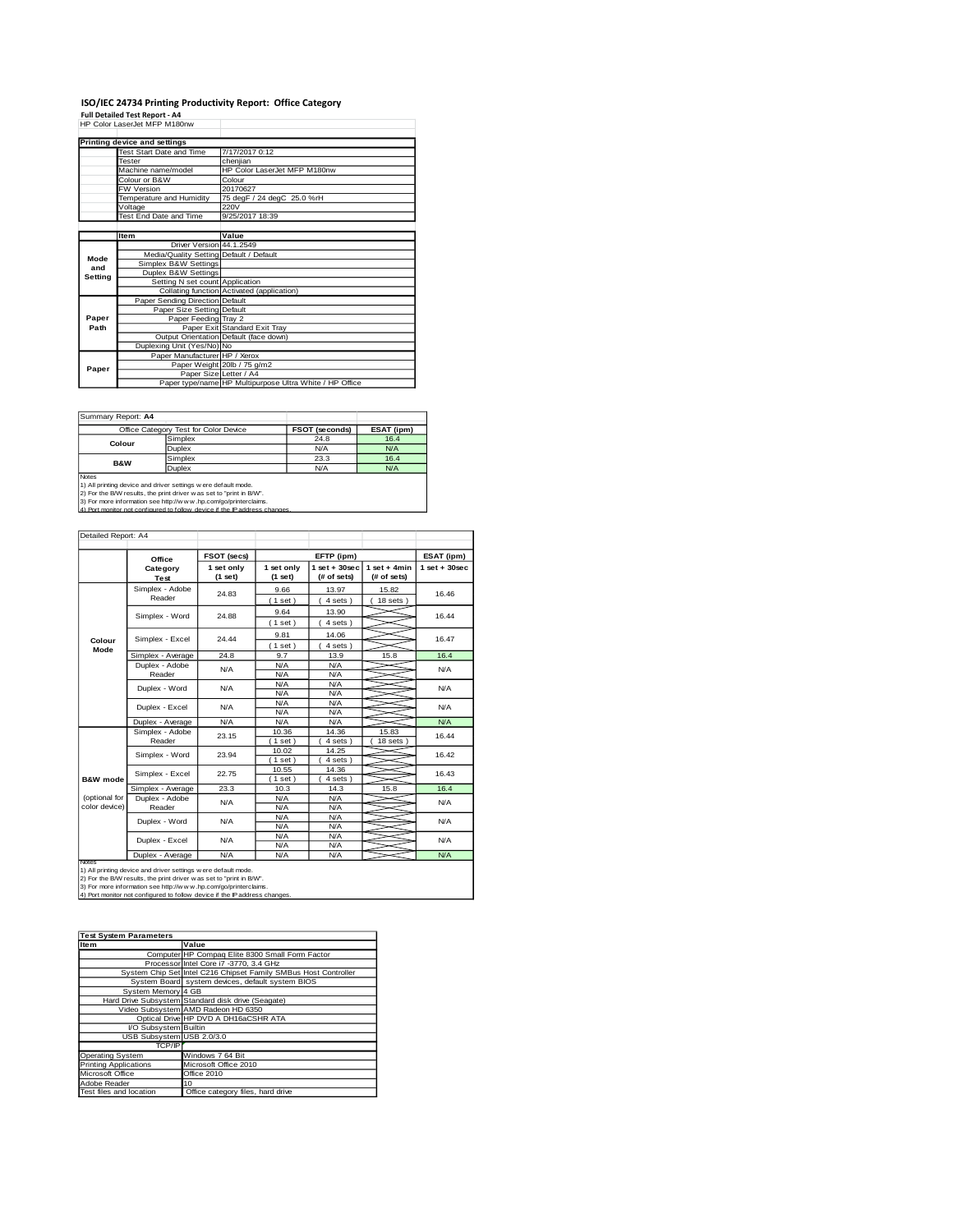# **ISO/IEC 24734 Printing Productivity Report: Office Category<br>Full Detailed Test Report - A4<br>HP Color LaserJet MFP M180nw**

|         | HP Color LaserJet MFP M180nw            |                                                         |
|---------|-----------------------------------------|---------------------------------------------------------|
|         | Printing device and settings            |                                                         |
|         | Test Start Date and Time                | 7/17/2017 0:12                                          |
|         | Tester                                  | cheniian                                                |
|         | Machine name/model                      | HP Color LaserJet MFP M180nw                            |
|         | Colour or B&W                           | Colour                                                  |
|         | <b>FW Version</b>                       | 20170627                                                |
|         | Temperature and Humidity                | 75 degF / 24 degC 25.0 %rH                              |
|         | Voltage                                 | 220V                                                    |
|         | Test End Date and Time                  | 9/25/2017 18:39                                         |
|         |                                         |                                                         |
|         | <b>Item</b>                             | Value                                                   |
|         | Driver Version 44.1.2549                |                                                         |
| Mode    | Media/Quality Setting Default / Default |                                                         |
| and     | Simplex B&W Settings                    |                                                         |
| Setting | Duplex B&W Settings                     |                                                         |
|         | Setting N set count Application         |                                                         |
|         |                                         | Collating function Activated (application)              |
|         | Paper Sending Direction Default         |                                                         |
|         | Paper Size Setting Default              |                                                         |
| Paper   | Paper Feeding Tray 2                    |                                                         |
| Path    |                                         | Paper Exit Standard Exit Tray                           |
|         |                                         | Output Orientation Default (face down)                  |
|         | Duplexing Unit (Yes/No) No              |                                                         |
|         | Paper Manufacturer HP / Xerox           |                                                         |
| Paper   |                                         | Paper Weight 20lb / 75 g/m2                             |
|         | Paper Size Letter / A4                  |                                                         |
|         |                                         | Paper type/name HP Multipurpose Ultra White / HP Office |

Summary Report: **A4**

|                                                                             | Office Category Test for Color Device                          |      | ESAT (ipm) |  |  |  |  |
|-----------------------------------------------------------------------------|----------------------------------------------------------------|------|------------|--|--|--|--|
| Colour                                                                      | Simplex                                                        | 24.8 | 16.4       |  |  |  |  |
|                                                                             | Duplex                                                         | N/A  | N/A        |  |  |  |  |
| <b>B&amp;W</b>                                                              | Simplex                                                        | 23.3 | 16.4       |  |  |  |  |
|                                                                             | Duplex                                                         | N/A  | N/A        |  |  |  |  |
| Notes                                                                       |                                                                |      |            |  |  |  |  |
|                                                                             | 1) All printing device and driver settings w ere default mode. |      |            |  |  |  |  |
| 2) For the B/W results, the print driver was set to "print in B/W".         |                                                                |      |            |  |  |  |  |
| 3) For more information see http://www.hp.com/go/printerclaims.             |                                                                |      |            |  |  |  |  |
| 4) Port monitor not configured to follow, device if the IP address changes. |                                                                |      |            |  |  |  |  |

| Detailed Report: A4            |                           |                                 |                         |                                               |                               |                   |
|--------------------------------|---------------------------|---------------------------------|-------------------------|-----------------------------------------------|-------------------------------|-------------------|
|                                | Office                    | FSOT (secs)                     |                         | EFTP (ipm)                                    |                               | ESAT (ipm)        |
|                                | Category<br>Test          | 1 set only<br>(1 set)           | 1 set only<br>$(1$ set) | $1$ set + 30sec<br>(# of sets)                | $1$ set + 4min<br>(# of sets) | $1$ set $+30$ sec |
|                                | Simplex - Adobe<br>Reader | 24.83                           | 9.66<br>(1 set)         | 15.82<br>13.97<br>$18$ sets $)$<br>$4 sets$ ) |                               | 16.46             |
|                                | Simplex - Word            | 24.88                           | 9.64<br>(1 set)         | 13.90<br>4 sets)                              |                               | 16.44             |
| Colour                         | Simplex - Excel           | 24.44                           | 9.81                    | 14.06                                         |                               | 16.47             |
| Mode                           | Simplex - Average         | 24.8                            | (1 set)<br>9.7          | $4 sets$ )<br>13.9                            | 15.8                          | 16.4              |
|                                | Duplex - Adobe<br>Reader  | N/A<br>N/A<br>N/A<br>N/A<br>N/A |                         |                                               | N/A                           |                   |
|                                | Duplex - Word             | N/A                             | N/A<br>N/A              | N/A<br>N/A                                    |                               | N/A               |
|                                | Duplex - Excel            | N/A                             | N/A<br>N/A              | N/A<br>N/A                                    |                               | N/A               |
|                                | Duplex - Average          | N/A                             | N/A                     | N/A                                           |                               | N/A               |
|                                | Simplex - Adobe<br>Reader | 23.15                           | 10.36<br>$1$ set $)$    | 14.36<br>4 sets)                              | 15.83<br>$18$ sets $)$        | 16.44             |
|                                | Simplex - Word            | 23.94                           | 10.02<br>(1 set)        | 14.25<br>4 sets)                              |                               | 16.42             |
| <b>B&amp;W</b> mode            | Simplex - Excel           | 22.75                           | 10.55<br>$1$ set)       | 14.36<br>$4 sets$ )                           |                               | 16.43             |
|                                | Simplex - Average         | 23.3                            | 10.3                    | 14.3                                          | 15.8                          | 16.4              |
| (optional for<br>color device) | Duplex - Adobe<br>Reader  | N/A                             | N/A<br>N/A              | N/A<br>N/A                                    |                               | N/A               |
|                                | Duplex - Word             | N/A                             | N/A<br>N/A              | N/A<br>N/A                                    |                               | <b>N/A</b>        |
|                                | Duplex - Excel            | N/A                             | N/A<br>N/A              | N/A<br>N/A                                    |                               | N/A               |
| Notes                          | Duplex - Average          | N/A                             | N/A                     | N/A                                           |                               | N/A               |

Notes<br>1) All printing device and driver settings were default mode.<br>2) For the B/W results, the print driver was set to "print in B/W".<br>3) For more information see http://www.hp.com/go/printerclaims.<br>4) Por monitor not con

| <b>Test System Parameters</b> |                                                                 |  |  |  |
|-------------------------------|-----------------------------------------------------------------|--|--|--|
| Item                          | Value                                                           |  |  |  |
|                               | Computer HP Compaq Elite 8300 Small Form Factor                 |  |  |  |
|                               | Processor Intel Core i7 -3770, 3.4 GHz                          |  |  |  |
|                               | System Chip Set Intel C216 Chipset Family SMBus Host Controller |  |  |  |
|                               | System Board system devices, default system BIOS                |  |  |  |
| System Memory 4 GB            |                                                                 |  |  |  |
|                               | Hard Drive Subsystem Standard disk drive (Seagate)              |  |  |  |
|                               | Video Subsystem AMD Radeon HD 6350                              |  |  |  |
|                               | Optical Drive HP DVD A DH16aCSHR ATA                            |  |  |  |
| I/O Subsystem Builtin         |                                                                 |  |  |  |
| USB Subsystem USB 2.0/3.0     |                                                                 |  |  |  |
| <b>TCP/IP</b>                 |                                                                 |  |  |  |
| <b>Operating System</b>       | Windows 7 64 Bit                                                |  |  |  |
| <b>Printing Applications</b>  | Microsoft Office 2010                                           |  |  |  |
| Microsoft Office              | Office 2010                                                     |  |  |  |
| Adobe Reader                  | 10                                                              |  |  |  |
| Test files and location       | Office category files, hard drive                               |  |  |  |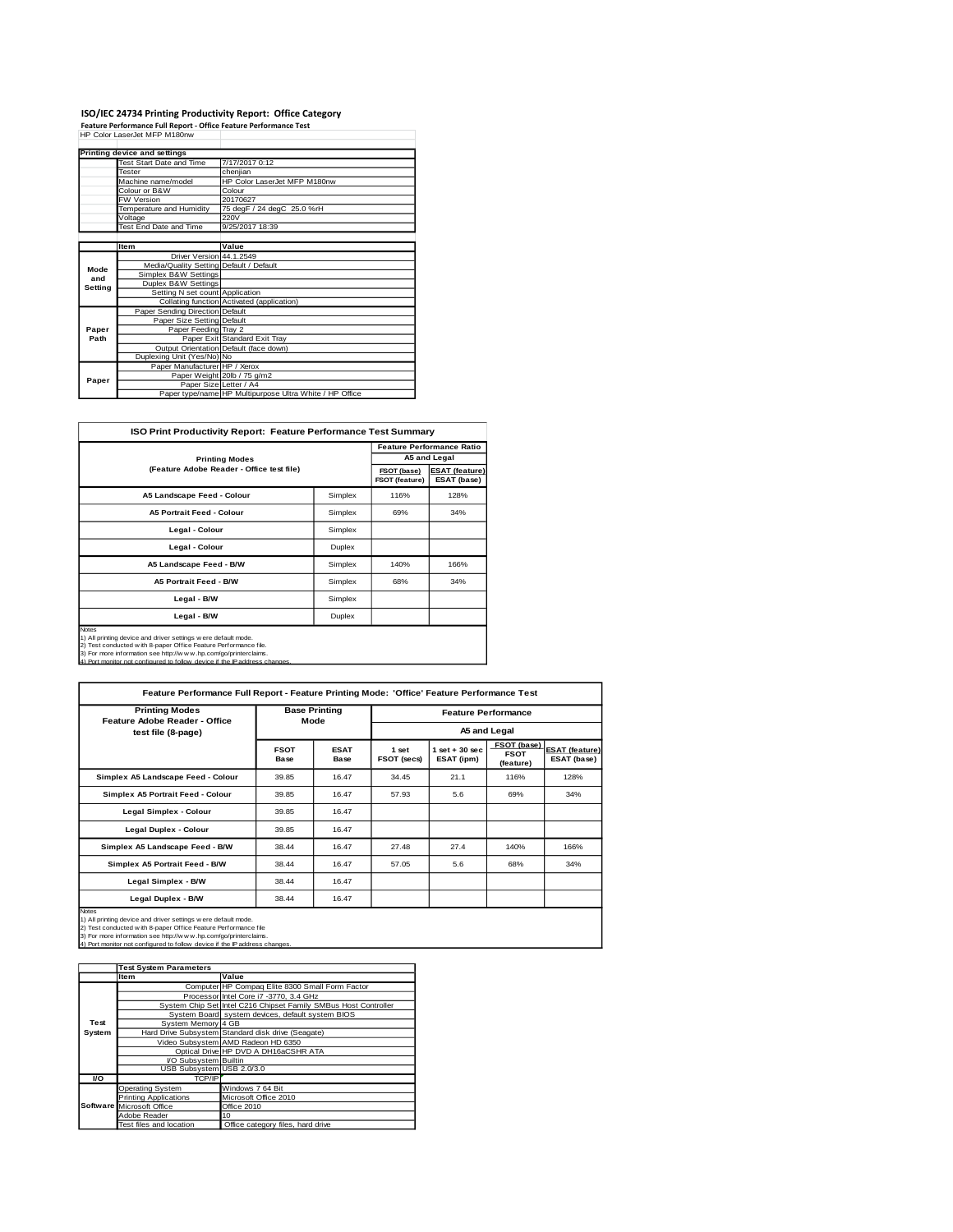# **ISO/IEC 24734 Printing Productivity Report: Office Category Feature Performance Full Report - Office Feature Performance Test** HP Color LaserJet MFP M180nw

|         | Printing device and settings            |                                                         |
|---------|-----------------------------------------|---------------------------------------------------------|
|         | Test Start Date and Time                | 7/17/2017 0:12                                          |
|         | Tester                                  | chenjian                                                |
|         | Machine name/model                      | HP Color LaserJet MFP M180nw                            |
|         | Colour or B&W                           | Colour                                                  |
|         | <b>FW Version</b>                       | 20170627                                                |
|         | Temperature and Humidity                | 75 degF / 24 degC 25.0 %rH                              |
|         | Voltage                                 | 220V                                                    |
|         | Test End Date and Time                  | 9/25/2017 18:39                                         |
|         |                                         |                                                         |
|         | <b>Item</b>                             | Value                                                   |
|         | Driver Version 44.1.2549                |                                                         |
| Mode    | Media/Quality Setting Default / Default |                                                         |
| and     | Simplex B&W Settings                    |                                                         |
| Setting | Duplex B&W Settings                     |                                                         |
|         | Setting N set count Application         |                                                         |
|         |                                         | Collating function Activated (application)              |
|         | Paper Sending Direction Default         |                                                         |
|         | Paper Size Setting Default              |                                                         |
| Paper   | Paper Feeding Tray 2                    |                                                         |
| Path    |                                         | Paper Exit Standard Exit Tray                           |
|         |                                         | Output Orientation Default (face down)                  |
|         | Duplexing Unit (Yes/No) No              |                                                         |
|         | Paper Manufacturer HP / Xerox           |                                                         |
| Paper   |                                         | Paper Weight 20lb / 75 g/m2                             |
|         | Paper Size Letter / A4                  |                                                         |
|         |                                         | Paper type/name HP Multipurpose Ultra White / HP Office |

| <b>ISO Print Productivity Report: Feature Performance Test Summary</b>                                                                                                                                                                                                                               |         |      |                                  |  |  |  |
|------------------------------------------------------------------------------------------------------------------------------------------------------------------------------------------------------------------------------------------------------------------------------------------------------|---------|------|----------------------------------|--|--|--|
|                                                                                                                                                                                                                                                                                                      |         |      | <b>Feature Performance Ratio</b> |  |  |  |
| <b>Printing Modes</b>                                                                                                                                                                                                                                                                                |         |      | A5 and Legal                     |  |  |  |
| (Feature Adobe Reader - Office test file)                                                                                                                                                                                                                                                            |         |      |                                  |  |  |  |
| A5 Landscape Feed - Colour                                                                                                                                                                                                                                                                           | Simplex | 116% | 128%                             |  |  |  |
| <b>A5 Portrait Feed - Colour</b>                                                                                                                                                                                                                                                                     | Simplex | 69%  | 34%                              |  |  |  |
| Legal - Colour                                                                                                                                                                                                                                                                                       | Simplex |      |                                  |  |  |  |
| Legal - Colour                                                                                                                                                                                                                                                                                       | Duplex  |      |                                  |  |  |  |
| A5 Landscape Feed - B/W                                                                                                                                                                                                                                                                              | Simplex | 140% | 166%                             |  |  |  |
| <b>A5 Portrait Feed - B/W</b>                                                                                                                                                                                                                                                                        | Simplex | 68%  | 34%                              |  |  |  |
| Legal - B/W<br>Simplex                                                                                                                                                                                                                                                                               |         |      |                                  |  |  |  |
| Legal - B/W<br>Duplex                                                                                                                                                                                                                                                                                |         |      |                                  |  |  |  |
| <b>Notes</b><br>1) All printing device and driver settings w ere default mode.<br>2) Test conducted with 8-paper Office Feature Performance file.<br>3) For more information see http://w w w .hp.com/go/printerclaims.<br>4) Port monitor not configured to follow device if the IP address changes |         |      |                                  |  |  |  |

| <b>Printing Modes</b><br>Feature Adobe Reader - Office                                                                                                                                                                                                                                              | <b>Base Printing</b><br>Mode |                     | <b>Feature Performance</b>  |                                 |                                         |                                      |
|-----------------------------------------------------------------------------------------------------------------------------------------------------------------------------------------------------------------------------------------------------------------------------------------------------|------------------------------|---------------------|-----------------------------|---------------------------------|-----------------------------------------|--------------------------------------|
| test file (8-page)                                                                                                                                                                                                                                                                                  |                              |                     | A5 and Legal                |                                 |                                         |                                      |
|                                                                                                                                                                                                                                                                                                     | <b>FSOT</b><br>Base          | <b>ESAT</b><br>Base | 1 set<br><b>FSOT (secs)</b> | $1$ set $+30$ sec<br>ESAT (ipm) | FSOT (base)<br><b>FSOT</b><br>(feature) | <b>ESAT (feature)</b><br>ESAT (base) |
| Simplex A5 Landscape Feed - Colour                                                                                                                                                                                                                                                                  | 39.85                        | 16.47               | 34.45                       | 21.1                            | 116%                                    | 128%                                 |
| Simplex A5 Portrait Feed - Colour                                                                                                                                                                                                                                                                   | 39.85                        | 16.47               | 57.93                       | 5.6                             | 69%                                     | 34%                                  |
| Legal Simplex - Colour                                                                                                                                                                                                                                                                              | 39.85                        | 16.47               |                             |                                 |                                         |                                      |
| Legal Duplex - Colour                                                                                                                                                                                                                                                                               | 39.85                        | 16.47               |                             |                                 |                                         |                                      |
| Simplex A5 Landscape Feed - B/W                                                                                                                                                                                                                                                                     | 38.44                        | 16.47               | 27.48                       | 27.4                            | 140%                                    | 166%                                 |
| Simplex A5 Portrait Feed - B/W                                                                                                                                                                                                                                                                      | 38.44                        | 16.47               | 57.05                       | 5.6                             | 68%                                     | 34%                                  |
| Legal Simplex - B/W                                                                                                                                                                                                                                                                                 | 38.44                        | 16.47               |                             |                                 |                                         |                                      |
| Legal Duplex - B/W<br>38.44<br>16.47                                                                                                                                                                                                                                                                |                              |                     |                             |                                 |                                         |                                      |
| <b>Notes</b><br>1) All printing device and driver settings were default mode.<br>2) Test conducted with 8-paper Office Feature Performance file<br>3) For more information see http://w w w .hp.com/go/printerclaims.<br>4) Port monitor not configured to follow device if the IP address changes. |                              |                     |                             |                                 |                                         |                                      |

|        | <b>Test System Parameters</b> |                                                                 |  |
|--------|-------------------------------|-----------------------------------------------------------------|--|
|        | <b>Item</b>                   | Value                                                           |  |
|        |                               | Computer HP Compaq Elite 8300 Small Form Factor                 |  |
|        |                               | Processor Intel Core i7 -3770, 3.4 GHz                          |  |
|        |                               | System Chip Set Intel C216 Chipset Family SMBus Host Controller |  |
|        |                               | System Board system devices, default system BIOS                |  |
| Test   | System Memory 4 GB            |                                                                 |  |
| System |                               | Hard Drive Subsystem Standard disk drive (Seagate)              |  |
|        |                               | Video Subsystem AMD Radeon HD 6350                              |  |
|        |                               | Optical Drive HP DVD A DH16aCSHR ATA                            |  |
|        | I/O Subsystem Builtin         |                                                                 |  |
|        | USB Subsystem USB 2.0/3.0     |                                                                 |  |
| VO.    | TCP/IP                        |                                                                 |  |
|        | <b>Operating System</b>       | Windows 7 64 Bit                                                |  |
|        | <b>Printing Applications</b>  | Microsoft Office 2010                                           |  |
|        | Software Microsoft Office     | Office 2010                                                     |  |
|        | Adobe Reader                  | 10                                                              |  |
|        | Test files and location       | Office category files, hard drive                               |  |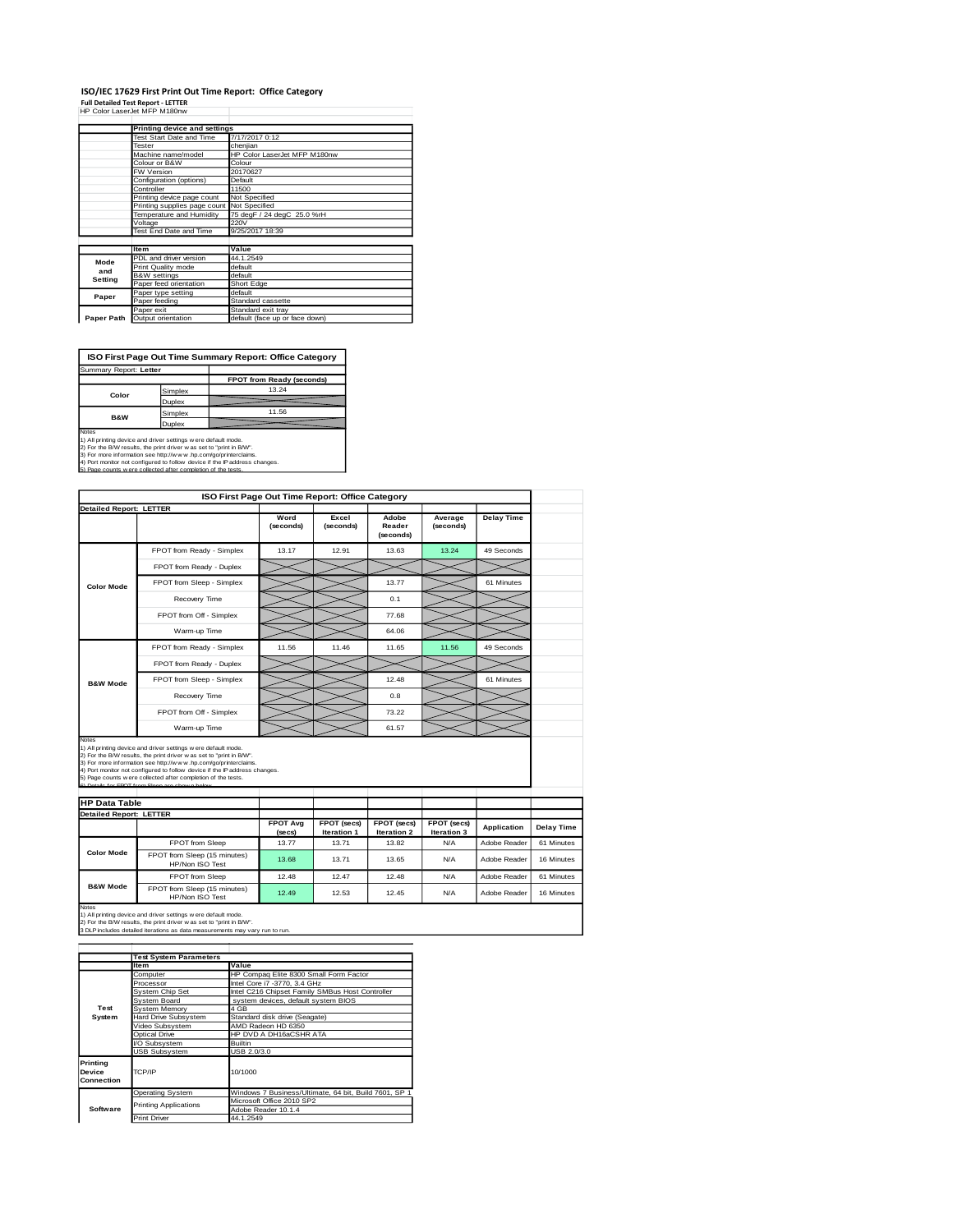## **ISO/IEC 17629 First Print Out Time Report: Office Category<br>Full Detailed Test Report - LETTER<br>HP Color LaserJet MFP M180nw**

|            | Printing device and settings               |                                |  |  |  |
|------------|--------------------------------------------|--------------------------------|--|--|--|
|            | Test Start Date and Time                   | 7/17/2017 0:12                 |  |  |  |
|            | Tester                                     | cheniian                       |  |  |  |
|            | Machine name/model                         | HP Color LaserJet MFP M180nw   |  |  |  |
|            | Colour or B&W                              | Colour                         |  |  |  |
|            | FW Version                                 | 20170627                       |  |  |  |
|            | Configuration (options)                    | Default                        |  |  |  |
|            | Controller                                 | 11500                          |  |  |  |
|            | Printing device page count                 | Not Specified                  |  |  |  |
|            | Printing supplies page count Not Specified |                                |  |  |  |
|            | Temperature and Humidity                   | 75 degF / 24 degC 25.0 %rH     |  |  |  |
|            | Voltage                                    | 220V                           |  |  |  |
|            | Test End Date and Time                     | 9/25/2017 18:39                |  |  |  |
|            |                                            |                                |  |  |  |
|            | <b>Item</b>                                | Value                          |  |  |  |
| Mode       | PDL and driver version                     | 44.1.2549                      |  |  |  |
| and        | Print Quality mode                         | default                        |  |  |  |
| Setting    | <b>B&amp;W</b> settings                    | default                        |  |  |  |
|            | Paper feed orientation                     | Short Edge                     |  |  |  |
| Paper      | Paper type setting                         | default                        |  |  |  |
|            | Paper feeding                              | Standard cassette              |  |  |  |
|            | Paper exit                                 | Standard exit tray             |  |  |  |
| Paper Path | Output orientation                         | default (face up or face down) |  |  |  |

**ISO First Page Out Time Summary Report: Office Category**

| Summary Report: Letter                                                 |         |                           |
|------------------------------------------------------------------------|---------|---------------------------|
|                                                                        |         | FPOT from Ready (seconds) |
| Color                                                                  | Simplex | 13.24                     |
| Duplex                                                                 |         |                           |
|                                                                        | Simplex | 11.56                     |
| <b>B&amp;W</b><br>Duplex                                               |         |                           |
| Notes<br>1) All printing device and driver settings were default mode. |         |                           |

1) All printing device and driver settings were default mode.<br>2) For the BAW results, the print driver was set to "print in BAW".<br>3) For more information see http://www.hp.com/go/printerclaims.<br>4) Port monitor not configur

|                                                        | ISO First Page Out Time Report: Office Category                                                                                                                                                                                                                                                                                                                                                          |                           |                            |                              |                            |                   |  |
|--------------------------------------------------------|----------------------------------------------------------------------------------------------------------------------------------------------------------------------------------------------------------------------------------------------------------------------------------------------------------------------------------------------------------------------------------------------------------|---------------------------|----------------------------|------------------------------|----------------------------|-------------------|--|
| <b>Detailed Report: LETTER</b>                         |                                                                                                                                                                                                                                                                                                                                                                                                          |                           |                            |                              |                            |                   |  |
|                                                        |                                                                                                                                                                                                                                                                                                                                                                                                          | Word<br>(seconds)         | Excel<br>(seconds)         | Adobe<br>Reader<br>(seconds) | Average<br>(seconds)       | <b>Delay Time</b> |  |
|                                                        | FPOT from Ready - Simplex                                                                                                                                                                                                                                                                                                                                                                                | 13.17                     | 12.91                      | 13.63                        | 13.24                      | 49 Seconds        |  |
|                                                        | FPOT from Ready - Duplex                                                                                                                                                                                                                                                                                                                                                                                 |                           |                            |                              |                            |                   |  |
| <b>Color Mode</b>                                      | FPOT from Sleep - Simplex                                                                                                                                                                                                                                                                                                                                                                                |                           |                            | 13.77                        |                            | 61 Minutes        |  |
|                                                        | Recovery Time                                                                                                                                                                                                                                                                                                                                                                                            |                           |                            | 0.1                          |                            |                   |  |
|                                                        | FPOT from Off - Simplex                                                                                                                                                                                                                                                                                                                                                                                  |                           |                            | 77.68                        |                            |                   |  |
|                                                        | Warm-up Time                                                                                                                                                                                                                                                                                                                                                                                             |                           |                            | 64.06                        |                            |                   |  |
|                                                        | FPOT from Ready - Simplex                                                                                                                                                                                                                                                                                                                                                                                | 11.56                     | 11.46                      | 11.65                        | 11.56                      | 49 Seconds        |  |
|                                                        | FPOT from Ready - Duplex                                                                                                                                                                                                                                                                                                                                                                                 |                           |                            |                              |                            |                   |  |
| <b>B&amp;W Mode</b>                                    | FPOT from Sleep - Simplex                                                                                                                                                                                                                                                                                                                                                                                |                           |                            | 12.48                        |                            | 61 Minutes        |  |
|                                                        | Recovery Time                                                                                                                                                                                                                                                                                                                                                                                            |                           |                            | 0.8                          |                            |                   |  |
|                                                        |                                                                                                                                                                                                                                                                                                                                                                                                          |                           |                            |                              |                            |                   |  |
|                                                        | FPOT from Off - Simplex                                                                                                                                                                                                                                                                                                                                                                                  |                           |                            | 73.22                        |                            |                   |  |
| Notes                                                  | Warm-up Time                                                                                                                                                                                                                                                                                                                                                                                             |                           |                            | 61.57                        |                            |                   |  |
| <b>HP Data Table</b><br><b>Detailed Report: LETTER</b> | 1) All printing device and driver settings were default mode.<br>2) For the B/W results, the print driver was set to "print in B/W".<br>3) For more information see http://www.hp.com/go/printerclaims.<br>4) Port monitor not configured to follow device if the IP address changes.<br>5) Page counts w ere collected after completion of the tests.<br>6) Details for FROT from Sleep are shown below |                           |                            |                              |                            |                   |  |
|                                                        |                                                                                                                                                                                                                                                                                                                                                                                                          | <b>FPOT Avg</b><br>(secs) | FPOT (secs)<br>Iteration 1 | FPOT (secs)<br>Iteration 2   | FPOT (secs)<br>Iteration 3 | Application       |  |
|                                                        | FPOT from Sleep                                                                                                                                                                                                                                                                                                                                                                                          | 13.77                     | 13.71                      | 13.82                        | N/A                        | Adobe Reader      |  |
| <b>Color Mode</b>                                      | FPOT from Sleep (15 minutes)<br>HP/Non ISO Test                                                                                                                                                                                                                                                                                                                                                          | 13.68                     | 13.71                      | 13.65                        | N/A                        | Adobe Reader      |  |
| <b>B&amp;W Mode</b>                                    | FPOT from Sleep                                                                                                                                                                                                                                                                                                                                                                                          | 12.48                     | 12.47                      | 12.48                        | N/A                        | Adobe Reader      |  |

1) All printing device and driver settings w ere default mode.<br>2) For the B/W results, the print driver w as set to "print in B/W".<br>3 DLP includes detailed iterations as data measurements may vary run to run.

|                                  | <b>Test System Parameters</b> |                                                       |  |  |  |
|----------------------------------|-------------------------------|-------------------------------------------------------|--|--|--|
|                                  | <b>Item</b>                   | Value                                                 |  |  |  |
|                                  | Computer                      | HP Compaq Elite 8300 Small Form Factor                |  |  |  |
|                                  | Processor                     | Intel Core i7 -3770, 3.4 GHz                          |  |  |  |
|                                  | System Chip Set               | Intel C216 Chipset Family SMBus Host Controller       |  |  |  |
|                                  | System Board                  | system devices, default system BIOS                   |  |  |  |
| Test                             | System Memory                 | 4 GB                                                  |  |  |  |
| System                           | <b>Hard Drive Subsystem</b>   | Standard disk drive (Seagate)                         |  |  |  |
|                                  | Video Subsystem               | AMD Radeon HD 6350                                    |  |  |  |
|                                  | Optical Drive                 | HP DVD A DH16aCSHR ATA                                |  |  |  |
|                                  | VO Subsystem                  | <b>Builtin</b>                                        |  |  |  |
|                                  | <b>USB Subsystem</b>          | USB 2.0/3.0                                           |  |  |  |
| Printing<br>Device<br>Connection | TCP/IP                        | 10/1000                                               |  |  |  |
|                                  | <b>Operating System</b>       | Windows 7 Business/Ultimate, 64 bit, Build 7601, SP 1 |  |  |  |
|                                  | <b>Printing Applications</b>  | Microsoft Office 2010 SP2                             |  |  |  |
| Software                         |                               | Adobe Reader 10.1.4                                   |  |  |  |
|                                  | <b>Print Driver</b>           | 44.1.2549                                             |  |  |  |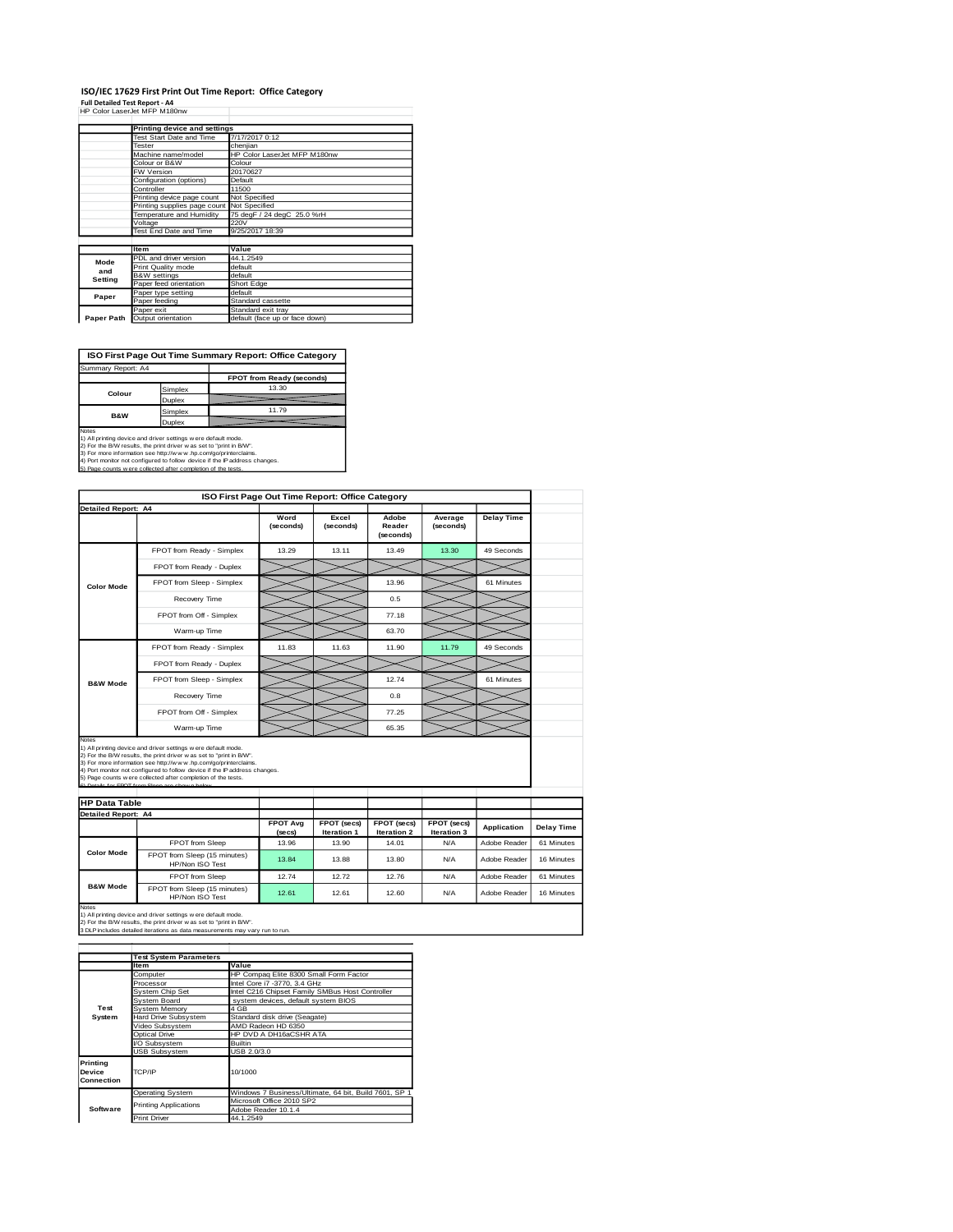## **ISO/IEC 17629 First Print Out Time Report: Office Category<br>Full Detailed Test Report - A4<br>HP Color LaserJet MFP M180nw**

|  | HP Color LaserJet MFP M180ny |  |  |  |
|--|------------------------------|--|--|--|

|            | Printing device and settings |                                |  |  |  |  |
|------------|------------------------------|--------------------------------|--|--|--|--|
|            | Test Start Date and Time     | 7/17/2017 0:12                 |  |  |  |  |
|            | Tester                       | cheniian                       |  |  |  |  |
|            | Machine name/model           | HP Color LaserJet MFP M180nw   |  |  |  |  |
|            | Colour or B&W                | Colour                         |  |  |  |  |
|            | FW Version                   | 20170627                       |  |  |  |  |
|            | Configuration (options)      | Default                        |  |  |  |  |
|            | Controller                   | 11500                          |  |  |  |  |
|            | Printing device page count   | Not Specified                  |  |  |  |  |
|            | Printing supplies page count | Not Specified                  |  |  |  |  |
|            | Temperature and Humidity     | 75 degF / 24 degC 25.0 %rH     |  |  |  |  |
|            | Voltage                      | 220V                           |  |  |  |  |
|            | Test End Date and Time       | 9/25/2017 18:39                |  |  |  |  |
|            |                              |                                |  |  |  |  |
|            | <b>Item</b>                  | Value                          |  |  |  |  |
| Mode       | PDL and driver version       | 44.1.2549                      |  |  |  |  |
| and        | Print Quality mode           | default                        |  |  |  |  |
| Setting    | <b>B&amp;W</b> settings      | default                        |  |  |  |  |
|            | Paper feed orientation       | Short Edge                     |  |  |  |  |
| Paper      | Paper type setting           | default                        |  |  |  |  |
|            | Paper feeding                | Standard cassette              |  |  |  |  |
|            | Paper exit                   | Standard exit tray             |  |  |  |  |
| Paper Path | Output orientation           | default (face up or face down) |  |  |  |  |

**ISO First Page Out Time Summary Report: Office Category**

| Summary Report: A4 |         |                           |
|--------------------|---------|---------------------------|
|                    |         | FPOT from Ready (seconds) |
| Colour             | Simplex | 13.30                     |
|                    | Duplex  |                           |
| <b>B&amp;W</b>     | Simplex | 11.79                     |
|                    | Duplex  |                           |

Notes<br>1) All printing device and driver settings were default mode.<br>2) For the B/W results, the print driver was set to "print in B/W".<br>3) For more information see http://www.hp.com/go/printerclaims.<br>4) Fort monitor not co

|                                                    |                                                                                                                                                                                                                                                                                                                                                                                                           | ISO First Page Out Time Report: Office Category |                      |                              |                      |                    |  |  |  |
|----------------------------------------------------|-----------------------------------------------------------------------------------------------------------------------------------------------------------------------------------------------------------------------------------------------------------------------------------------------------------------------------------------------------------------------------------------------------------|-------------------------------------------------|----------------------|------------------------------|----------------------|--------------------|--|--|--|
| <b>Detailed Report: A4</b>                         |                                                                                                                                                                                                                                                                                                                                                                                                           | Word<br>(seconds)                               | Excel<br>(seconds)   | Adobe<br>Reader<br>(seconds) | Average<br>(seconds) | <b>Delay Time</b>  |  |  |  |
|                                                    | FPOT from Ready - Simplex                                                                                                                                                                                                                                                                                                                                                                                 | 13.29                                           | 13.11                | 13.49                        | 13.30                | 49 Seconds         |  |  |  |
|                                                    | FPOT from Ready - Duplex                                                                                                                                                                                                                                                                                                                                                                                  |                                                 |                      |                              |                      |                    |  |  |  |
| <b>Color Mode</b>                                  | FPOT from Sleep - Simplex                                                                                                                                                                                                                                                                                                                                                                                 |                                                 |                      | 13.96                        |                      | 61 Minutes         |  |  |  |
|                                                    | Recovery Time                                                                                                                                                                                                                                                                                                                                                                                             |                                                 |                      | 0.5                          |                      |                    |  |  |  |
|                                                    | FPOT from Off - Simplex                                                                                                                                                                                                                                                                                                                                                                                   |                                                 |                      | 77.18                        |                      |                    |  |  |  |
|                                                    | Warm-up Time                                                                                                                                                                                                                                                                                                                                                                                              |                                                 |                      | 63.70                        |                      |                    |  |  |  |
|                                                    | FPOT from Ready - Simplex                                                                                                                                                                                                                                                                                                                                                                                 | 11.83                                           | 11.63                | 11.90                        | 11.79                | 49 Seconds         |  |  |  |
|                                                    | FPOT from Ready - Duplex                                                                                                                                                                                                                                                                                                                                                                                  |                                                 |                      |                              |                      |                    |  |  |  |
| <b>B&amp;W Mode</b>                                | FPOT from Sleep - Simplex                                                                                                                                                                                                                                                                                                                                                                                 |                                                 |                      | 12.74                        |                      | 61 Minutes         |  |  |  |
|                                                    | Recovery Time                                                                                                                                                                                                                                                                                                                                                                                             |                                                 |                      | 0.8                          |                      |                    |  |  |  |
|                                                    | FPOT from Off - Simplex                                                                                                                                                                                                                                                                                                                                                                                   |                                                 |                      | 77.25                        |                      |                    |  |  |  |
|                                                    |                                                                                                                                                                                                                                                                                                                                                                                                           |                                                 |                      |                              |                      |                    |  |  |  |
| Notes                                              | Warm-up Time                                                                                                                                                                                                                                                                                                                                                                                              |                                                 |                      | 65.35                        |                      |                    |  |  |  |
| <b>HP Data Table</b><br><b>Detailed Report: A4</b> | 1) All printing device and driver settings w ere default mode.<br>2) For the B/W results, the print driver was set to "print in B/W".<br>3) For more information see http://www.hp.com/go/printerclaims.<br>4) Port monitor not configured to follow device if the IP address changes.<br>5) Page counts w ere collected after completion of the tests.<br>6) Details for FROT from Sleep are shown below | <b>FPOT Avg</b>                                 | FPOT (secs)          | FPOT (secs)                  | FPOT (secs)          | <b>Application</b> |  |  |  |
|                                                    | FPOT from Sleep                                                                                                                                                                                                                                                                                                                                                                                           | (secs)<br>13.96                                 | Iteration 1<br>13.90 | <b>Iteration 2</b><br>14.01  | Iteration 3<br>N/A   | Adobe Reader       |  |  |  |
| <b>Color Mode</b>                                  | FPOT from Sleep (15 minutes)<br>HP/Non ISO Test                                                                                                                                                                                                                                                                                                                                                           | 13.84                                           | 13.88                | 13.80                        | N/A                  | Adobe Reader       |  |  |  |
|                                                    | FPOT from Sleep                                                                                                                                                                                                                                                                                                                                                                                           | 12.74                                           | 12.72                | 12.76                        | N/A                  | Adobe Reader       |  |  |  |

|                                  | <b>Test System Parameters</b> |                                                       |  |  |  |
|----------------------------------|-------------------------------|-------------------------------------------------------|--|--|--|
|                                  | <b>Item</b>                   | Value                                                 |  |  |  |
|                                  | Computer                      | HP Compaq Elite 8300 Small Form Factor                |  |  |  |
|                                  | Processor                     | Intel Core i7 -3770, 3.4 GHz                          |  |  |  |
|                                  | System Chip Set               | Intel C216 Chipset Family SMBus Host Controller       |  |  |  |
|                                  | System Board                  | system devices, default system BIOS                   |  |  |  |
| Test                             | System Memory                 | 4 GB                                                  |  |  |  |
| System                           | Hard Drive Subsystem          | Standard disk drive (Seagate)                         |  |  |  |
|                                  | Video Subsystem               | AMD Radeon HD 6350                                    |  |  |  |
|                                  | Optical Drive                 | HP DVD A DH16aCSHR ATA                                |  |  |  |
|                                  | VO Subsystem                  | <b>Builtin</b>                                        |  |  |  |
|                                  | <b>USB Subsystem</b>          | USB 2.0/3.0                                           |  |  |  |
| Printing<br>Device<br>Connection | TCP/IP                        | 10/1000                                               |  |  |  |
|                                  | <b>Operating System</b>       | Windows 7 Business/Ultimate, 64 bit, Build 7601, SP 1 |  |  |  |
|                                  | <b>Printing Applications</b>  | Microsoft Office 2010 SP2                             |  |  |  |
| Software                         |                               | Adobe Reader 10.1.4                                   |  |  |  |
|                                  | <b>Print Driver</b>           | 44.1.2549                                             |  |  |  |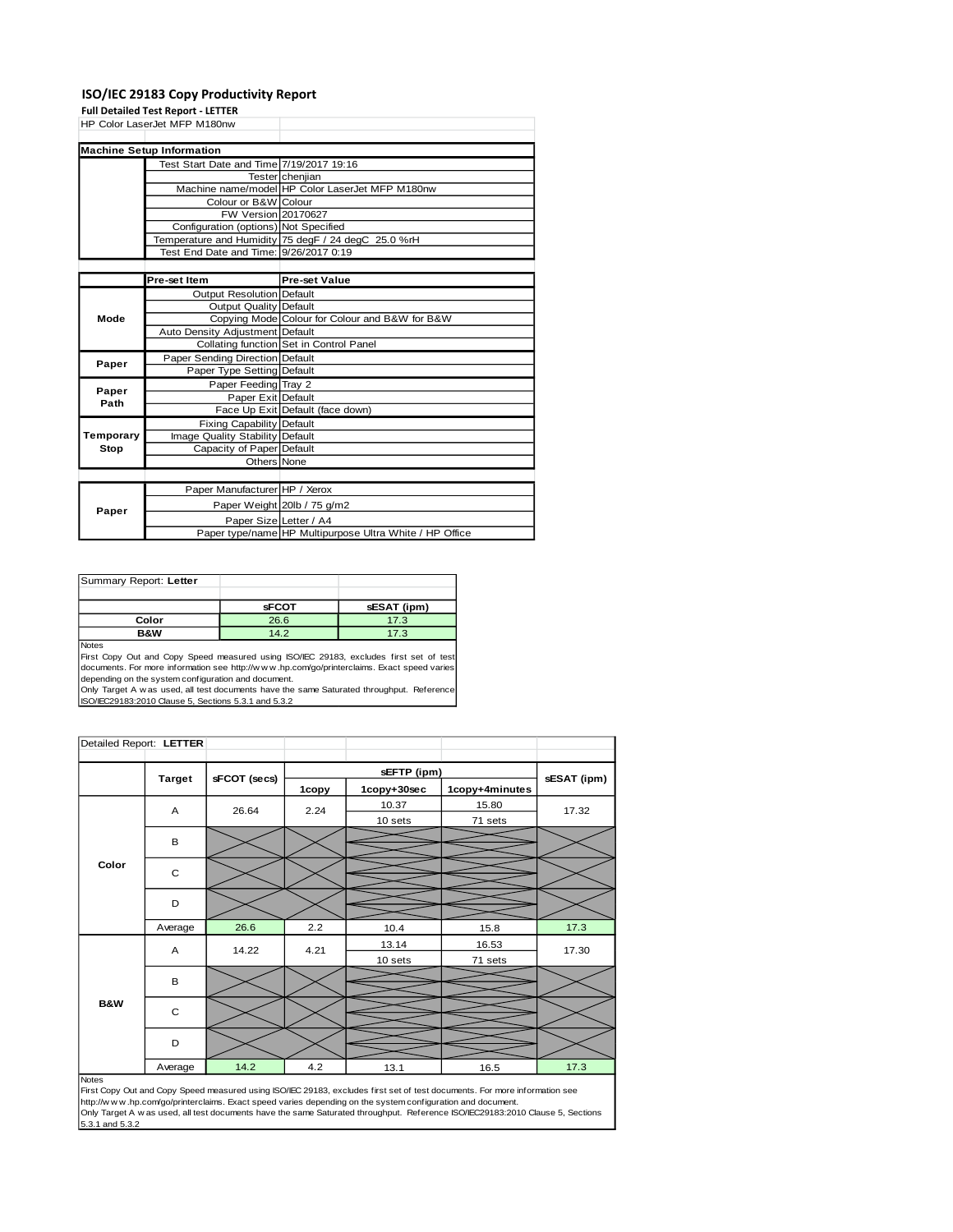### **ISO/IEC 29183 Copy Productivity Report**

**Full Detailed Test Report - LETTER**

|             | HP Color LaserJet MFP M180nw             |                                                         |
|-------------|------------------------------------------|---------------------------------------------------------|
|             |                                          |                                                         |
|             | <b>Machine Setup Information</b>         |                                                         |
|             | Test Start Date and Time 7/19/2017 19:16 |                                                         |
|             |                                          | Tester chenjian                                         |
|             |                                          | Machine name/model HP Color LaserJet MFP M180nw         |
|             | Colour or B&W Colour                     |                                                         |
|             | FW Version 20170627                      |                                                         |
|             | Configuration (options) Not Specified    |                                                         |
|             |                                          | Temperature and Humidity 75 degF / 24 degC 25.0 %rH     |
|             | Test End Date and Time: 9/26/2017 0:19   |                                                         |
|             |                                          |                                                         |
|             | Pre-set Item                             | <b>Pre-set Value</b>                                    |
|             | Output Resolution Default                |                                                         |
|             | <b>Output Quality Default</b>            |                                                         |
| Mode        |                                          | Copying Mode Colour for Colour and B&W for B&W          |
|             | Auto Density Adjustment Default          |                                                         |
|             |                                          | Collating function Set in Control Panel                 |
| Paper       | Paper Sending Direction Default          |                                                         |
|             | Paper Type Setting Default               |                                                         |
| Paper       | Paper Feeding Tray 2                     |                                                         |
| Path        | Paper Exit Default                       |                                                         |
|             |                                          | Face Up Exit Default (face down)                        |
|             | Fixing Capability Default                |                                                         |
| Temporary   | Image Quality Stability Default          |                                                         |
| <b>Stop</b> | Capacity of Paper Default                |                                                         |
|             | Others None                              |                                                         |
|             |                                          |                                                         |
|             | Paper Manufacturer HP / Xerox            |                                                         |
| Paper       |                                          | Paper Weight 20lb / 75 g/m2                             |
|             | Paper Size Letter / A4                   |                                                         |
|             |                                          | Paper type/name HP Multipurpose Ultra White / HP Office |

| Summary Report: Letter |              |             |
|------------------------|--------------|-------------|
|                        |              |             |
|                        | <b>SFCOT</b> | sESAT (ipm) |
| Color                  | 26.6         | 17.3        |
| <b>B&amp;W</b>         | 14.2         | 17.3        |
| <b>INDUCED</b>         |              |             |

Notes First Copy Out and Copy Speed measured using ISO/IEC 29183, excludes first set of test documents. For more information see http://w w w .hp.com/go/printerclaims. Exact speed varies depending on the system configuration and document.

Only Target A w as used, all test documents have the same Saturated throughput. Reference ISO/IEC29183:2010 Clause 5, Sections 5.3.1 and 5.3.2

| Detailed Report: LETTER |                |              |       |             |                |             |
|-------------------------|----------------|--------------|-------|-------------|----------------|-------------|
|                         |                |              |       |             |                |             |
|                         | <b>Target</b>  |              |       | sEFTP (ipm) |                | sESAT (ipm) |
|                         |                | sFCOT (secs) | 1copy | 1copy+30sec | 1copy+4minutes |             |
|                         | $\overline{A}$ | 26.64        | 2.24  | 10.37       | 15.80          | 17.32       |
|                         |                |              |       | 10 sets     | 71 sets        |             |
|                         | B              |              |       |             |                |             |
|                         |                |              |       |             |                |             |
| Color                   | $\mathbf C$    |              |       |             |                |             |
|                         |                |              |       |             |                |             |
|                         | D              |              |       |             |                |             |
|                         |                |              |       |             |                |             |
|                         | Average        | 26.6         | 2.2   | 10.4        | 15.8           | 17.3        |
|                         | Α              | 14.22        | 4.21  | 13.14       | 16.53          | 17.30       |
|                         |                |              |       | 10 sets     | 71 sets        |             |
|                         | B              |              |       |             |                |             |
|                         |                |              |       |             |                |             |
| <b>B&amp;W</b>          | $\mathbf C$    |              |       |             |                |             |
|                         |                |              |       |             |                |             |
|                         | D              |              |       |             |                |             |
|                         |                |              |       |             |                |             |
|                         | Average        | 14.2         | 4.2   | 13.1        | 16.5           | 17.3        |

Notes<br>First Copy Out and Copy Speed measured using ISO/IEC 29183, excludes first set of test documents. For more information see<br>http://www.hp.com/go/printerclaims. Exact speed varies depending on the system configuration